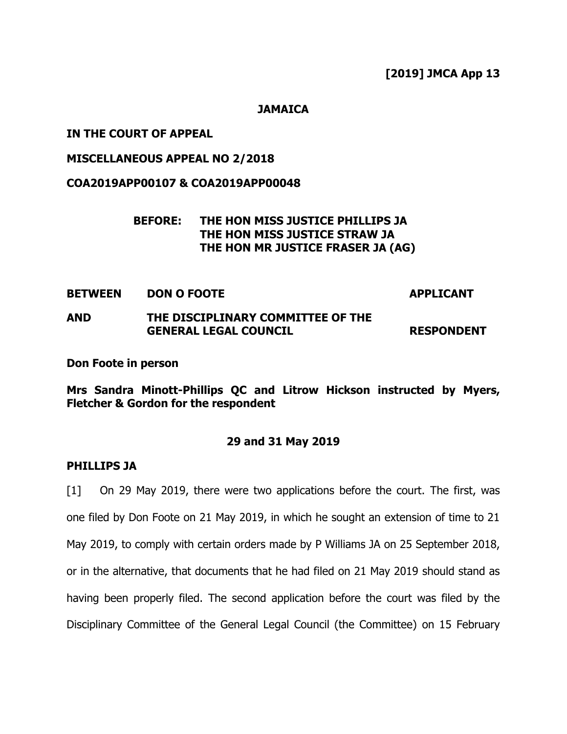**[2019] JMCA App 13**

**JAMAICA**

## **IN THE COURT OF APPEAL**

## **MISCELLANEOUS APPEAL NO 2/2018**

## **COA2019APP00107 & COA2019APP00048**

## **BEFORE: THE HON MISS JUSTICE PHILLIPS JA THE HON MISS JUSTICE STRAW JA THE HON MR JUSTICE FRASER JA (AG)**

**BETWEEN DON O FOOTE APPLICANT**

# **AND THE DISCIPLINARY COMMITTEE OF THE GENERAL LEGAL COUNCIL RESPONDENT**

**Don Foote in person**

**Mrs Sandra Minott-Phillips QC and Litrow Hickson instructed by Myers, Fletcher & Gordon for the respondent**

## **29 and 31 May 2019**

#### **PHILLIPS JA**

[1] On 29 May 2019, there were two applications before the court. The first, was one filed by Don Foote on 21 May 2019, in which he sought an extension of time to 21 May 2019, to comply with certain orders made by P Williams JA on 25 September 2018, or in the alternative, that documents that he had filed on 21 May 2019 should stand as having been properly filed. The second application before the court was filed by the Disciplinary Committee of the General Legal Council (the Committee) on 15 February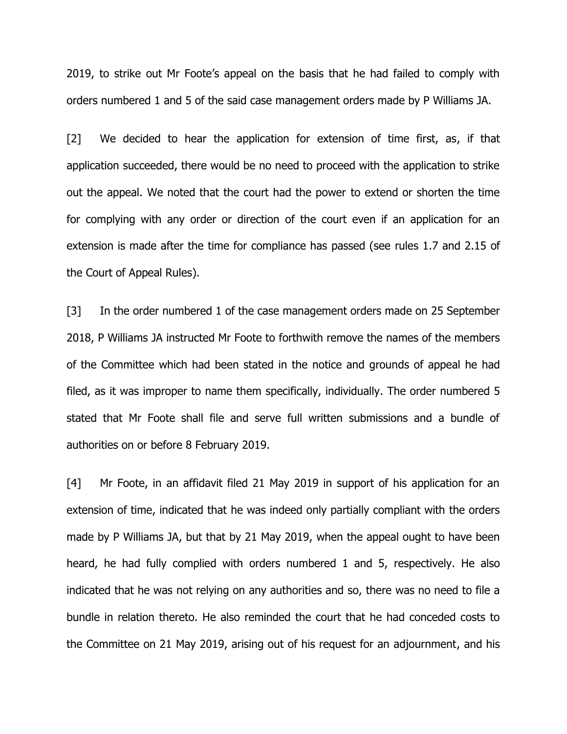2019, to strike out Mr Foote's appeal on the basis that he had failed to comply with orders numbered 1 and 5 of the said case management orders made by P Williams JA.

[2] We decided to hear the application for extension of time first, as, if that application succeeded, there would be no need to proceed with the application to strike out the appeal. We noted that the court had the power to extend or shorten the time for complying with any order or direction of the court even if an application for an extension is made after the time for compliance has passed (see rules 1.7 and 2.15 of the Court of Appeal Rules).

[3] In the order numbered 1 of the case management orders made on 25 September 2018, P Williams JA instructed Mr Foote to forthwith remove the names of the members of the Committee which had been stated in the notice and grounds of appeal he had filed, as it was improper to name them specifically, individually. The order numbered 5 stated that Mr Foote shall file and serve full written submissions and a bundle of authorities on or before 8 February 2019.

[4] Mr Foote, in an affidavit filed 21 May 2019 in support of his application for an extension of time, indicated that he was indeed only partially compliant with the orders made by P Williams JA, but that by 21 May 2019, when the appeal ought to have been heard, he had fully complied with orders numbered 1 and 5, respectively. He also indicated that he was not relying on any authorities and so, there was no need to file a bundle in relation thereto. He also reminded the court that he had conceded costs to the Committee on 21 May 2019, arising out of his request for an adjournment, and his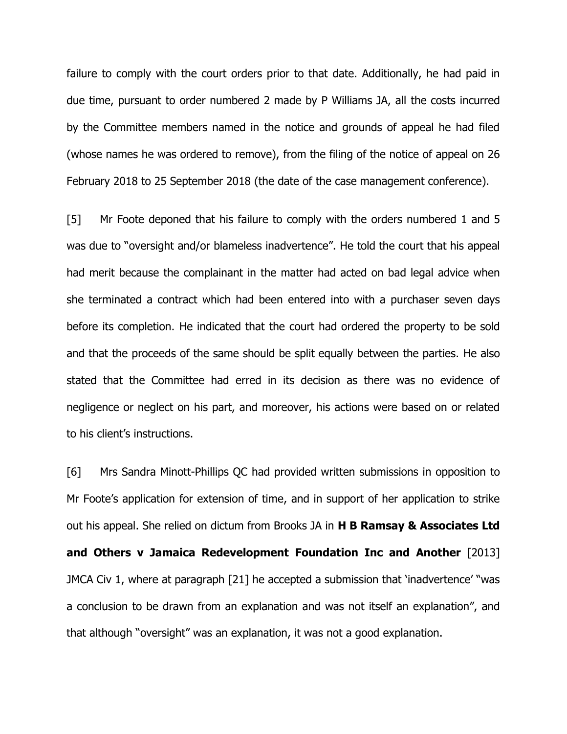failure to comply with the court orders prior to that date. Additionally, he had paid in due time, pursuant to order numbered 2 made by P Williams JA, all the costs incurred by the Committee members named in the notice and grounds of appeal he had filed (whose names he was ordered to remove), from the filing of the notice of appeal on 26 February 2018 to 25 September 2018 (the date of the case management conference).

[5] Mr Foote deponed that his failure to comply with the orders numbered 1 and 5 was due to "oversight and/or blameless inadvertence". He told the court that his appeal had merit because the complainant in the matter had acted on bad legal advice when she terminated a contract which had been entered into with a purchaser seven days before its completion. He indicated that the court had ordered the property to be sold and that the proceeds of the same should be split equally between the parties. He also stated that the Committee had erred in its decision as there was no evidence of negligence or neglect on his part, and moreover, his actions were based on or related to his client's instructions.

[6] Mrs Sandra Minott-Phillips QC had provided written submissions in opposition to Mr Foote's application for extension of time, and in support of her application to strike out his appeal. She relied on dictum from Brooks JA in **H B Ramsay & Associates Ltd and Others v Jamaica Redevelopment Foundation Inc and Another** [2013] JMCA Civ 1, where at paragraph [21] he accepted a submission that 'inadvertence' "was a conclusion to be drawn from an explanation and was not itself an explanation", and that although "oversight" was an explanation, it was not a good explanation.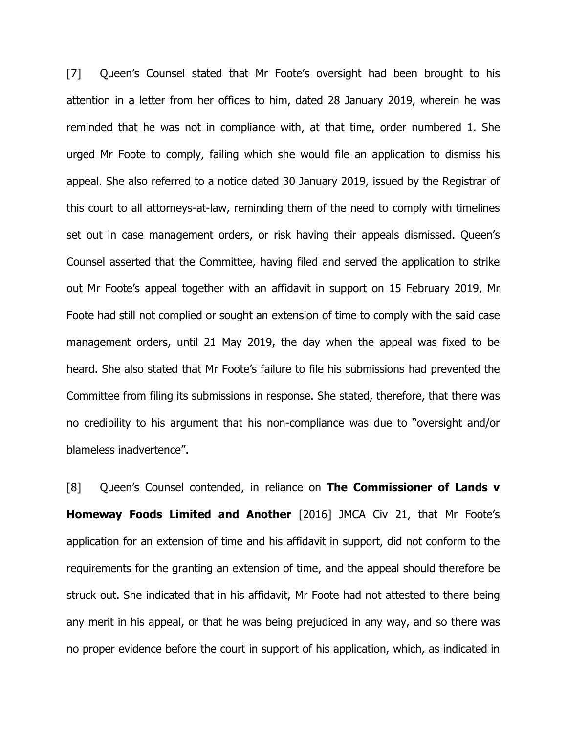[7] Queen's Counsel stated that Mr Foote's oversight had been brought to his attention in a letter from her offices to him, dated 28 January 2019, wherein he was reminded that he was not in compliance with, at that time, order numbered 1. She urged Mr Foote to comply, failing which she would file an application to dismiss his appeal. She also referred to a notice dated 30 January 2019, issued by the Registrar of this court to all attorneys-at-law, reminding them of the need to comply with timelines set out in case management orders, or risk having their appeals dismissed. Queen's Counsel asserted that the Committee, having filed and served the application to strike out Mr Foote's appeal together with an affidavit in support on 15 February 2019, Mr Foote had still not complied or sought an extension of time to comply with the said case management orders, until 21 May 2019, the day when the appeal was fixed to be heard. She also stated that Mr Foote's failure to file his submissions had prevented the Committee from filing its submissions in response. She stated, therefore, that there was no credibility to his argument that his non-compliance was due to "oversight and/or blameless inadvertence".

[8] Queen's Counsel contended, in reliance on **The Commissioner of Lands v Homeway Foods Limited and Another** [2016] JMCA Civ 21, that Mr Foote's application for an extension of time and his affidavit in support, did not conform to the requirements for the granting an extension of time, and the appeal should therefore be struck out. She indicated that in his affidavit, Mr Foote had not attested to there being any merit in his appeal, or that he was being prejudiced in any way, and so there was no proper evidence before the court in support of his application, which, as indicated in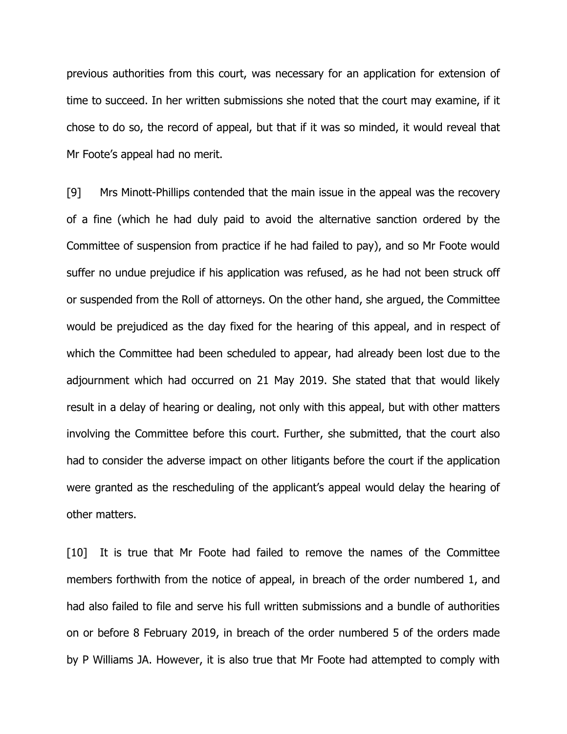previous authorities from this court, was necessary for an application for extension of time to succeed. In her written submissions she noted that the court may examine, if it chose to do so, the record of appeal, but that if it was so minded, it would reveal that Mr Foote's appeal had no merit.

[9] Mrs Minott-Phillips contended that the main issue in the appeal was the recovery of a fine (which he had duly paid to avoid the alternative sanction ordered by the Committee of suspension from practice if he had failed to pay), and so Mr Foote would suffer no undue prejudice if his application was refused, as he had not been struck off or suspended from the Roll of attorneys. On the other hand, she argued, the Committee would be prejudiced as the day fixed for the hearing of this appeal, and in respect of which the Committee had been scheduled to appear, had already been lost due to the adjournment which had occurred on 21 May 2019. She stated that that would likely result in a delay of hearing or dealing, not only with this appeal, but with other matters involving the Committee before this court. Further, she submitted, that the court also had to consider the adverse impact on other litigants before the court if the application were granted as the rescheduling of the applicant's appeal would delay the hearing of other matters.

[10] It is true that Mr Foote had failed to remove the names of the Committee members forthwith from the notice of appeal, in breach of the order numbered 1, and had also failed to file and serve his full written submissions and a bundle of authorities on or before 8 February 2019, in breach of the order numbered 5 of the orders made by P Williams JA. However, it is also true that Mr Foote had attempted to comply with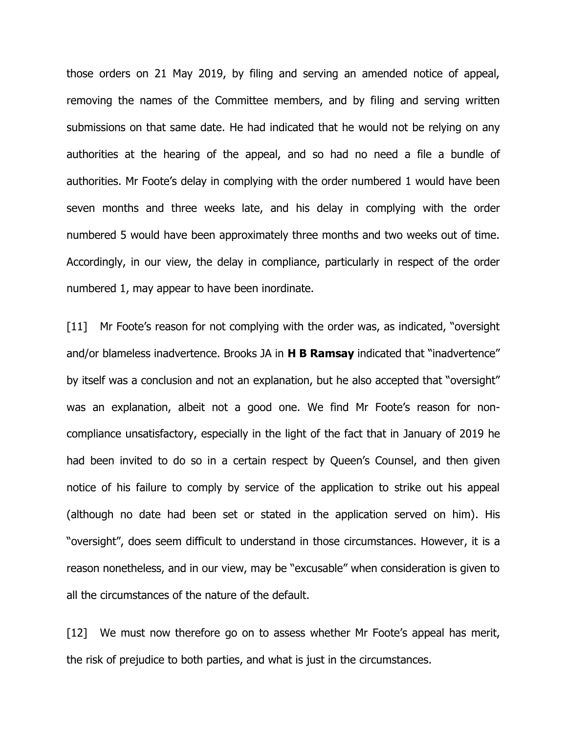those orders on 21 May 2019, by filing and serving an amended notice of appeal, removing the names of the Committee members, and by filing and serving written submissions on that same date. He had indicated that he would not be relying on any authorities at the hearing of the appeal, and so had no need a file a bundle of authorities. Mr Foote's delay in complying with the order numbered 1 would have been seven months and three weeks late, and his delay in complying with the order numbered 5 would have been approximately three months and two weeks out of time. Accordingly, in our view, the delay in compliance, particularly in respect of the order numbered 1, may appear to have been inordinate.

[11] Mr Foote's reason for not complying with the order was, as indicated, "oversight" and/or blameless inadvertence. Brooks JA in **H B Ramsay** indicated that "inadvertence" by itself was a conclusion and not an explanation, but he also accepted that "oversight" was an explanation, albeit not a good one. We find Mr Foote's reason for noncompliance unsatisfactory, especially in the light of the fact that in January of 2019 he had been invited to do so in a certain respect by Queen's Counsel, and then given notice of his failure to comply by service of the application to strike out his appeal (although no date had been set or stated in the application served on him). His "oversight", does seem difficult to understand in those circumstances. However, it is a reason nonetheless, and in our view, may be "excusable" when consideration is given to all the circumstances of the nature of the default.

[12] We must now therefore go on to assess whether Mr Foote's appeal has merit, the risk of prejudice to both parties, and what is just in the circumstances.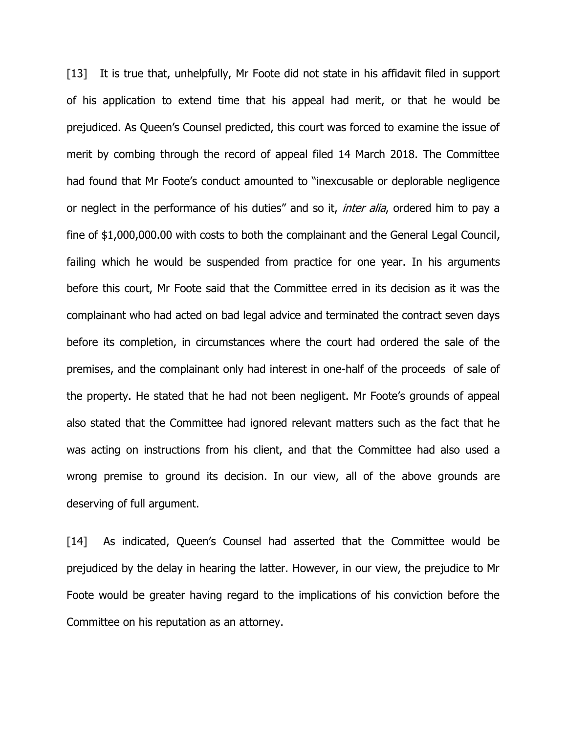[13] It is true that, unhelpfully, Mr Foote did not state in his affidavit filed in support of his application to extend time that his appeal had merit, or that he would be prejudiced. As Queen's Counsel predicted, this court was forced to examine the issue of merit by combing through the record of appeal filed 14 March 2018. The Committee had found that Mr Foote's conduct amounted to "inexcusable or deplorable negligence or neglect in the performance of his duties" and so it, *inter alia*, ordered him to pay a fine of \$1,000,000.00 with costs to both the complainant and the General Legal Council, failing which he would be suspended from practice for one year. In his arguments before this court, Mr Foote said that the Committee erred in its decision as it was the complainant who had acted on bad legal advice and terminated the contract seven days before its completion, in circumstances where the court had ordered the sale of the premises, and the complainant only had interest in one-half of the proceeds of sale of the property. He stated that he had not been negligent. Mr Foote's grounds of appeal also stated that the Committee had ignored relevant matters such as the fact that he was acting on instructions from his client, and that the Committee had also used a wrong premise to ground its decision. In our view, all of the above grounds are deserving of full argument.

[14] As indicated, Queen's Counsel had asserted that the Committee would be prejudiced by the delay in hearing the latter. However, in our view, the prejudice to Mr Foote would be greater having regard to the implications of his conviction before the Committee on his reputation as an attorney.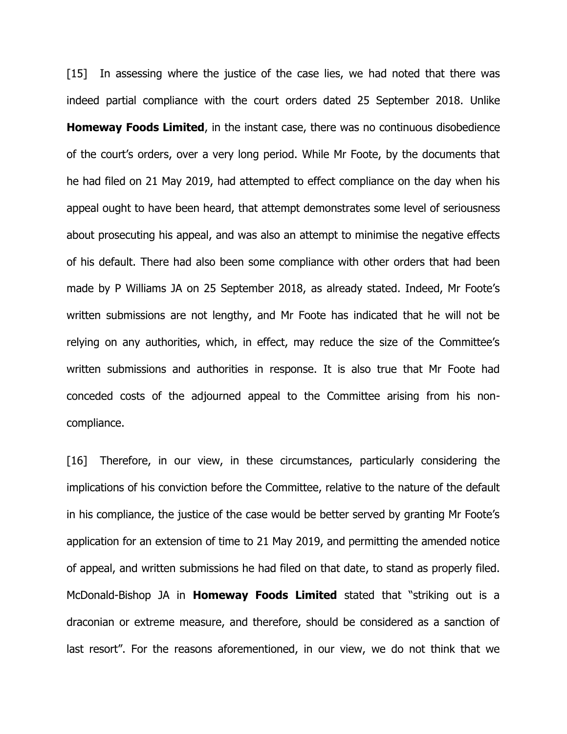[15] In assessing where the justice of the case lies, we had noted that there was indeed partial compliance with the court orders dated 25 September 2018. Unlike **Homeway Foods Limited**, in the instant case, there was no continuous disobedience of the court's orders, over a very long period. While Mr Foote, by the documents that he had filed on 21 May 2019, had attempted to effect compliance on the day when his appeal ought to have been heard, that attempt demonstrates some level of seriousness about prosecuting his appeal, and was also an attempt to minimise the negative effects of his default. There had also been some compliance with other orders that had been made by P Williams JA on 25 September 2018, as already stated. Indeed, Mr Foote's written submissions are not lengthy, and Mr Foote has indicated that he will not be relying on any authorities, which, in effect, may reduce the size of the Committee's written submissions and authorities in response. It is also true that Mr Foote had conceded costs of the adjourned appeal to the Committee arising from his noncompliance.

[16] Therefore, in our view, in these circumstances, particularly considering the implications of his conviction before the Committee, relative to the nature of the default in his compliance, the justice of the case would be better served by granting Mr Foote's application for an extension of time to 21 May 2019, and permitting the amended notice of appeal, and written submissions he had filed on that date, to stand as properly filed. McDonald-Bishop JA in **Homeway Foods Limited** stated that "striking out is a draconian or extreme measure, and therefore, should be considered as a sanction of last resort". For the reasons aforementioned, in our view, we do not think that we